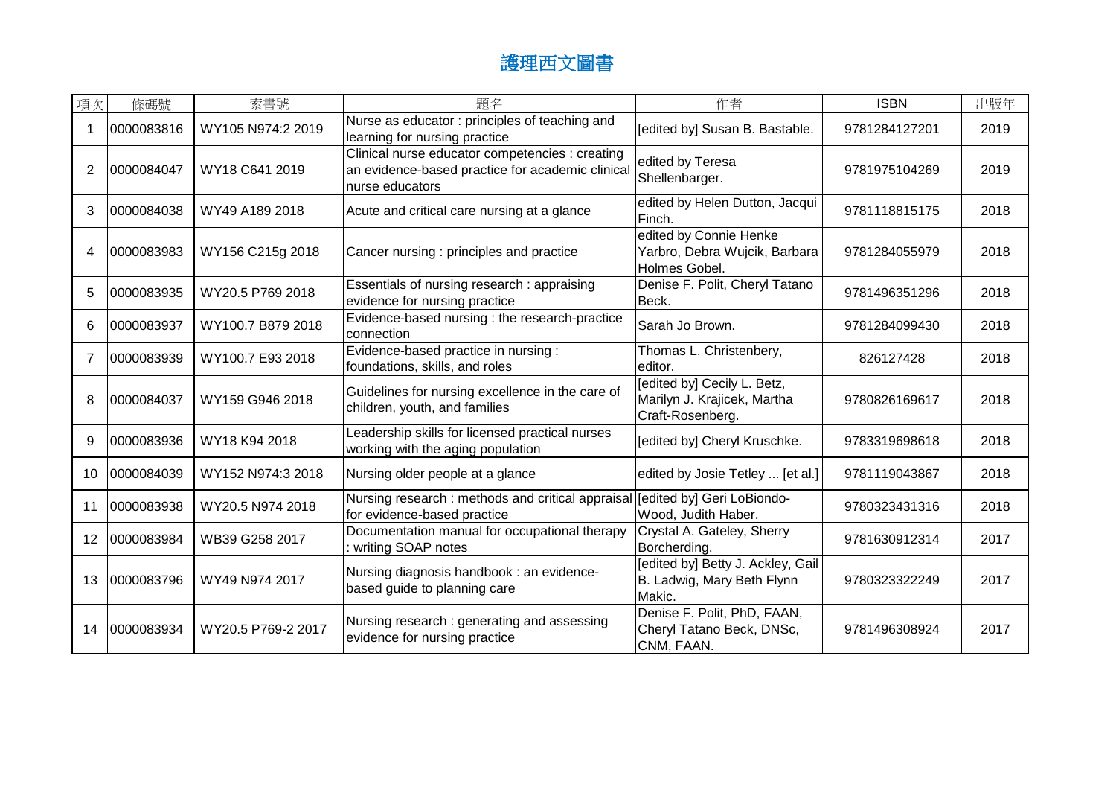| 項次 | 條碼號        | 索書號                | 題名                                                                                                                    | 作者                                                                             | <b>ISBN</b>   | 出版年  |
|----|------------|--------------------|-----------------------------------------------------------------------------------------------------------------------|--------------------------------------------------------------------------------|---------------|------|
|    | 0000083816 | WY105 N974:2 2019  | Nurse as educator: principles of teaching and<br>learning for nursing practice                                        | [edited by] Susan B. Bastable.                                                 | 9781284127201 | 2019 |
| 2  | 0000084047 | WY18 C641 2019     | Clinical nurse educator competencies : creating<br>an evidence-based practice for academic clinica<br>nurse educators | edited by Teresa<br>Shellenbarger.                                             | 9781975104269 | 2019 |
| 3  | 0000084038 | WY49 A189 2018     | Acute and critical care nursing at a glance                                                                           | edited by Helen Dutton, Jacqui<br>Finch.                                       | 9781118815175 | 2018 |
| 4  | 0000083983 | WY156 C215g 2018   | Cancer nursing: principles and practice                                                                               | edited by Connie Henke<br>Yarbro, Debra Wujcik, Barbara<br>Holmes Gobel.       | 9781284055979 | 2018 |
| 5  | 0000083935 | WY20.5 P769 2018   | Essentials of nursing research: appraising<br>evidence for nursing practice                                           | Denise F. Polit, Cheryl Tatano<br>Beck.                                        | 9781496351296 | 2018 |
| 6  | 0000083937 | WY100.7 B879 2018  | Evidence-based nursing : the research-practice<br>connection                                                          | Sarah Jo Brown.                                                                | 9781284099430 | 2018 |
| 7  | 0000083939 | WY100.7 E93 2018   | Evidence-based practice in nursing :<br>foundations, skills, and roles                                                | Thomas L. Christenbery,<br>editor.                                             | 826127428     | 2018 |
| 8  | 0000084037 | WY159 G946 2018    | Guidelines for nursing excellence in the care of<br>children, youth, and families                                     | [edited by] Cecily L. Betz,<br>Marilyn J. Krajicek, Martha<br>Craft-Rosenberg. | 9780826169617 | 2018 |
| 9  | 0000083936 | WY18 K94 2018      | Leadership skills for licensed practical nurses<br>working with the aging population                                  | [edited by] Cheryl Kruschke.                                                   | 9783319698618 | 2018 |
| 10 | 0000084039 | WY152 N974:3 2018  | Nursing older people at a glance                                                                                      | edited by Josie Tetley  [et al.]                                               | 9781119043867 | 2018 |
| 11 | 0000083938 | WY20.5 N974 2018   | Nursing research: methods and critical appraisal [edited by] Geri LoBiondo-<br>for evidence-based practice            | Wood, Judith Haber.                                                            | 9780323431316 | 2018 |
| 12 | 0000083984 | WB39 G258 2017     | Documentation manual for occupational therapy<br>writing SOAP notes                                                   | Crystal A. Gateley, Sherry<br>Borcherding.                                     | 9781630912314 | 2017 |
| 13 | 0000083796 | WY49 N974 2017     | Nursing diagnosis handbook : an evidence-<br>based guide to planning care                                             | [edited by] Betty J. Ackley, Gail<br>B. Ladwig, Mary Beth Flynn<br>Makic.      | 9780323322249 | 2017 |
| 14 | 0000083934 | WY20.5 P769-2 2017 | Nursing research: generating and assessing<br>evidence for nursing practice                                           | Denise F. Polit, PhD, FAAN,<br>Cheryl Tatano Beck, DNSc,<br>CNM, FAAN.         | 9781496308924 | 2017 |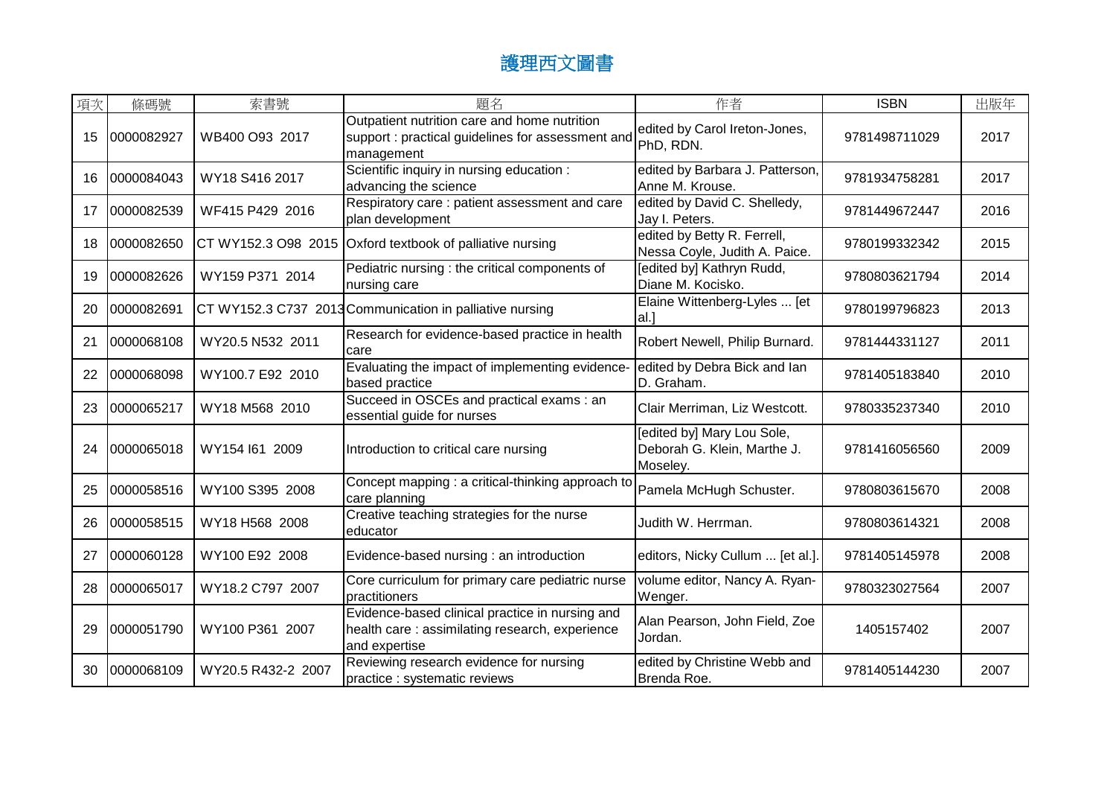| 項次 | 條碼號        | 索書號                | 題名                                                                                                                 | 作者                                                                    | <b>ISBN</b>   | 出版年  |
|----|------------|--------------------|--------------------------------------------------------------------------------------------------------------------|-----------------------------------------------------------------------|---------------|------|
| 15 | 0000082927 | WB400 O93 2017     | Outpatient nutrition care and home nutrition<br>support : practical guidelines for assessment and<br>management    | edited by Carol Ireton-Jones,<br>PhD, RDN.                            | 9781498711029 | 2017 |
| 16 | 0000084043 | WY18 S416 2017     | Scientific inquiry in nursing education :<br>advancing the science                                                 | edited by Barbara J. Patterson,<br>Anne M. Krouse.                    | 9781934758281 | 2017 |
| 17 | 0000082539 | WF415 P429 2016    | Respiratory care : patient assessment and care<br>plan development                                                 | edited by David C. Shelledy,<br>Jay I. Peters.                        | 9781449672447 | 2016 |
| 18 | 0000082650 |                    | CT WY152.3 O98 2015 Oxford textbook of palliative nursing                                                          | edited by Betty R. Ferrell,<br>Nessa Coyle, Judith A. Paice.          | 9780199332342 | 2015 |
| 19 | 0000082626 | WY159 P371 2014    | Pediatric nursing : the critical components of<br>nursing care                                                     | [edited by] Kathryn Rudd,<br>Diane M. Kocisko.                        | 9780803621794 | 2014 |
| 20 | 0000082691 |                    | CT WY152.3 C737 2013 Communication in palliative nursing                                                           | Elaine Wittenberg-Lyles  [et<br>$al.$ ]                               | 9780199796823 | 2013 |
| 21 | 0000068108 | WY20.5 N532 2011   | Research for evidence-based practice in health<br>care                                                             | Robert Newell, Philip Burnard.                                        | 9781444331127 | 2011 |
| 22 | 0000068098 | WY100.7 E92 2010   | Evaluating the impact of implementing evidence-<br>based practice                                                  | edited by Debra Bick and lan<br>D. Graham.                            | 9781405183840 | 2010 |
| 23 | 0000065217 | WY18 M568 2010     | Succeed in OSCEs and practical exams : an<br>essential guide for nurses                                            | Clair Merriman, Liz Westcott.                                         | 9780335237340 | 2010 |
| 24 | 0000065018 | WY154 I61 2009     | Introduction to critical care nursing                                                                              | [edited by] Mary Lou Sole,<br>Deborah G. Klein, Marthe J.<br>Moseley. | 9781416056560 | 2009 |
| 25 | 0000058516 | WY100 S395 2008    | Concept mapping : a critical-thinking approach to<br>care planning                                                 | Pamela McHugh Schuster.                                               | 9780803615670 | 2008 |
| 26 | 0000058515 | WY18 H568 2008     | Creative teaching strategies for the nurse<br>educator                                                             | Judith W. Herrman.                                                    | 9780803614321 | 2008 |
| 27 | 0000060128 | WY100 E92 2008     | Evidence-based nursing : an introduction                                                                           | editors, Nicky Cullum  [et al.].                                      | 9781405145978 | 2008 |
| 28 | 0000065017 | WY18.2 C797 2007   | Core curriculum for primary care pediatric nurse<br>practitioners                                                  | volume editor, Nancy A. Ryan-<br>Wenger.                              | 9780323027564 | 2007 |
| 29 | 0000051790 | WY100 P361 2007    | Evidence-based clinical practice in nursing and<br>health care: assimilating research, experience<br>and expertise | Alan Pearson, John Field, Zoe<br>Jordan.                              | 1405157402    | 2007 |
| 30 | 0000068109 | WY20.5 R432-2 2007 | Reviewing research evidence for nursing<br>practice : systematic reviews                                           | edited by Christine Webb and<br>Brenda Roe.                           | 9781405144230 | 2007 |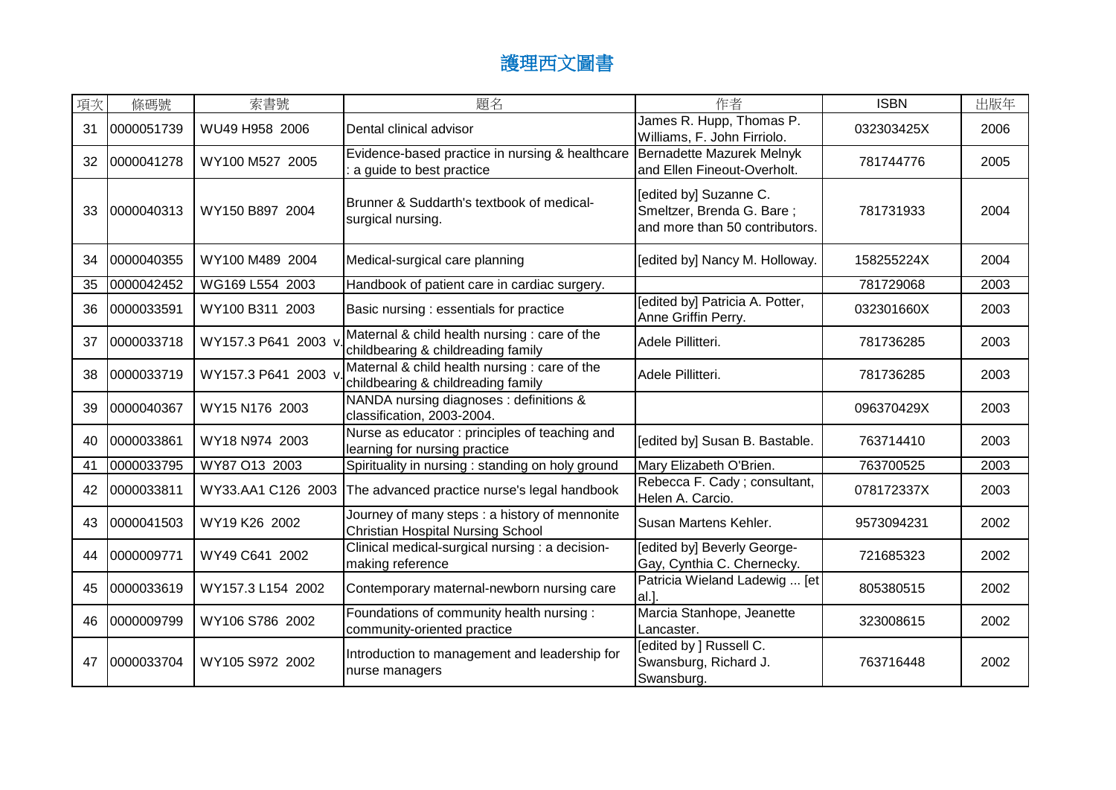| 項次 | 條碼號        | 索書號                 | 題名                                                                                        | 作者                                                                                    | <b>ISBN</b> | 出版年  |
|----|------------|---------------------|-------------------------------------------------------------------------------------------|---------------------------------------------------------------------------------------|-------------|------|
| 31 | 0000051739 | WU49 H958 2006      | Dental clinical advisor                                                                   | James R. Hupp, Thomas P.<br>Williams, F. John Firriolo.                               | 032303425X  | 2006 |
| 32 | 0000041278 | WY100 M527 2005     | Evidence-based practice in nursing & healthcare<br>a guide to best practice               | Bernadette Mazurek Melnyk<br>and Ellen Fineout-Overholt.                              | 781744776   | 2005 |
| 33 | 0000040313 | WY150 B897 2004     | Brunner & Suddarth's textbook of medical-<br>surgical nursing.                            | [edited by] Suzanne C.<br>Smeltzer, Brenda G. Bare;<br>and more than 50 contributors. | 781731933   | 2004 |
| 34 | 0000040355 | WY100 M489 2004     | Medical-surgical care planning                                                            | [edited by] Nancy M. Holloway.                                                        | 158255224X  | 2004 |
| 35 | 0000042452 | WG169 L554 2003     | Handbook of patient care in cardiac surgery.                                              |                                                                                       | 781729068   | 2003 |
| 36 | 0000033591 | WY100 B311 2003     | Basic nursing : essentials for practice                                                   | [edited by] Patricia A. Potter,<br>Anne Griffin Perry.                                | 032301660X  | 2003 |
| 37 | 0000033718 | WY157.3 P641 2003 v | Maternal & child health nursing : care of the<br>childbearing & childreading family       | Adele Pillitteri.                                                                     | 781736285   | 2003 |
| 38 | 0000033719 | WY157.3 P641 2003 v | Maternal & child health nursing : care of the<br>childbearing & childreading family       | Adele Pillitteri.                                                                     | 781736285   | 2003 |
| 39 | 0000040367 | WY15 N176 2003      | NANDA nursing diagnoses : definitions &<br>classification, 2003-2004.                     |                                                                                       | 096370429X  | 2003 |
| 40 | 0000033861 | WY18 N974 2003      | Nurse as educator: principles of teaching and<br>learning for nursing practice            | [edited by] Susan B. Bastable.                                                        | 763714410   | 2003 |
| 41 | 0000033795 | WY87 O13 2003       | Spirituality in nursing : standing on holy ground                                         | Mary Elizabeth O'Brien.                                                               | 763700525   | 2003 |
| 42 | 0000033811 |                     | WY33.AA1 C126 2003 The advanced practice nurse's legal handbook                           | Rebecca F. Cady; consultant,<br>Helen A. Carcio.                                      | 078172337X  | 2003 |
| 43 | 0000041503 | WY19 K26 2002       | Journey of many steps: a history of mennonite<br><b>Christian Hospital Nursing School</b> | Susan Martens Kehler.                                                                 | 9573094231  | 2002 |
| 44 | 0000009771 | WY49 C641 2002      | Clinical medical-surgical nursing : a decision-<br>making reference                       | [edited by] Beverly George-<br>Gay, Cynthia C. Chernecky.                             | 721685323   | 2002 |
| 45 | 0000033619 | WY157.3 L154 2002   | Contemporary maternal-newborn nursing care                                                | Patricia Wieland Ladewig  [et<br>al.                                                  | 805380515   | 2002 |
| 46 | 0000009799 | WY106 S786 2002     | Foundations of community health nursing:<br>community-oriented practice                   | Marcia Stanhope, Jeanette<br>Lancaster.                                               | 323008615   | 2002 |
| 47 | 0000033704 | WY105 S972 2002     | Introduction to management and leadership for<br>nurse managers                           | [edited by ] Russell C.<br>Swansburg, Richard J.<br>Swansburg.                        | 763716448   | 2002 |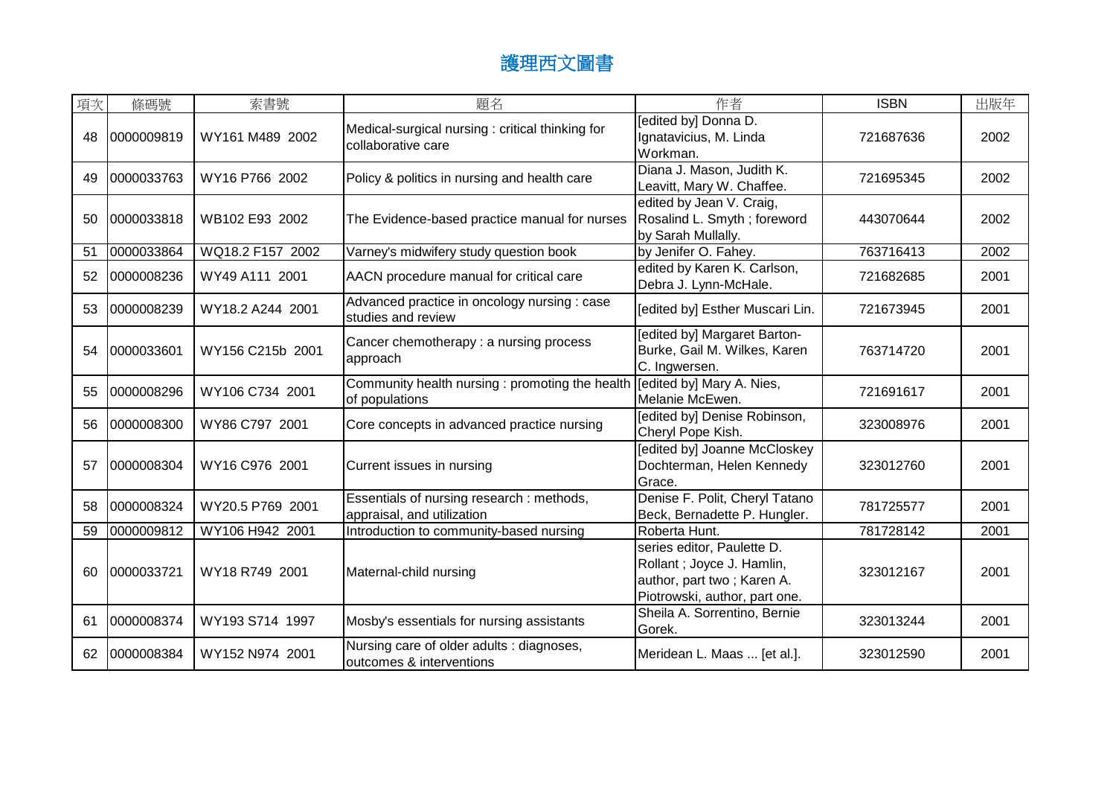| 項次 | 條碼號        | 索書號              | 題名                                                                      | 作者                                                                                                                     | <b>ISBN</b> | 出版年  |
|----|------------|------------------|-------------------------------------------------------------------------|------------------------------------------------------------------------------------------------------------------------|-------------|------|
| 48 | 0000009819 | WY161 M489 2002  | Medical-surgical nursing: critical thinking for<br>collaborative care   | [edited by] Donna D.<br>Ignatavicius, M. Linda<br>Workman.                                                             | 721687636   | 2002 |
| 49 | 0000033763 | WY16 P766 2002   | Policy & politics in nursing and health care                            | Diana J. Mason, Judith K.<br>Leavitt, Mary W. Chaffee.                                                                 | 721695345   | 2002 |
| 50 | 0000033818 | WB102 E93 2002   | The Evidence-based practice manual for nurses                           | edited by Jean V. Craig,<br>Rosalind L. Smyth; foreword<br>by Sarah Mullally.                                          | 443070644   | 2002 |
| 51 | 0000033864 | WQ18.2 F157 2002 | Varney's midwifery study question book                                  | by Jenifer O. Fahey.                                                                                                   | 763716413   | 2002 |
| 52 | 0000008236 | WY49 A111 2001   | AACN procedure manual for critical care                                 | edited by Karen K. Carlson,<br>Debra J. Lynn-McHale.                                                                   | 721682685   | 2001 |
| 53 | 0000008239 | WY18.2 A244 2001 | Advanced practice in oncology nursing : case<br>studies and review      | [edited by] Esther Muscari Lin.                                                                                        | 721673945   | 2001 |
| 54 | 0000033601 | WY156 C215b 2001 | Cancer chemotherapy: a nursing process<br>approach                      | [edited by] Margaret Barton-<br>Burke, Gail M. Wilkes, Karen<br>C. Ingwersen.                                          | 763714720   | 2001 |
| 55 | 0000008296 | WY106 C734 2001  | Community health nursing : promoting the health<br>of populations       | [edited by] Mary A. Nies,<br>Melanie McEwen.                                                                           | 721691617   | 2001 |
| 56 | 0000008300 | WY86 C797 2001   | Core concepts in advanced practice nursing                              | [edited by] Denise Robinson,<br>Cheryl Pope Kish.                                                                      | 323008976   | 2001 |
| 57 | 0000008304 | WY16 C976 2001   | Current issues in nursing                                               | [edited by] Joanne McCloskey<br>Dochterman, Helen Kennedy<br>Grace.                                                    | 323012760   | 2001 |
| 58 | 0000008324 | WY20.5 P769 2001 | Essentials of nursing research : methods,<br>appraisal, and utilization | Denise F. Polit, Cheryl Tatano<br>Beck, Bernadette P. Hungler.                                                         | 781725577   | 2001 |
| 59 | 0000009812 | WY106 H942 2001  | Introduction to community-based nursing                                 | Roberta Hunt.                                                                                                          | 781728142   | 2001 |
| 60 | 0000033721 | WY18 R749 2001   | Maternal-child nursing                                                  | series editor, Paulette D.<br>Rollant; Joyce J. Hamlin,<br>author, part two; Karen A.<br>Piotrowski, author, part one. | 323012167   | 2001 |
| 61 | 0000008374 | WY193 S714 1997  | Mosby's essentials for nursing assistants                               | Sheila A. Sorrentino, Bernie<br>Gorek.                                                                                 | 323013244   | 2001 |
| 62 | 0000008384 | WY152 N974 2001  | Nursing care of older adults : diagnoses,<br>outcomes & interventions   | Meridean L. Maas  [et al.].                                                                                            | 323012590   | 2001 |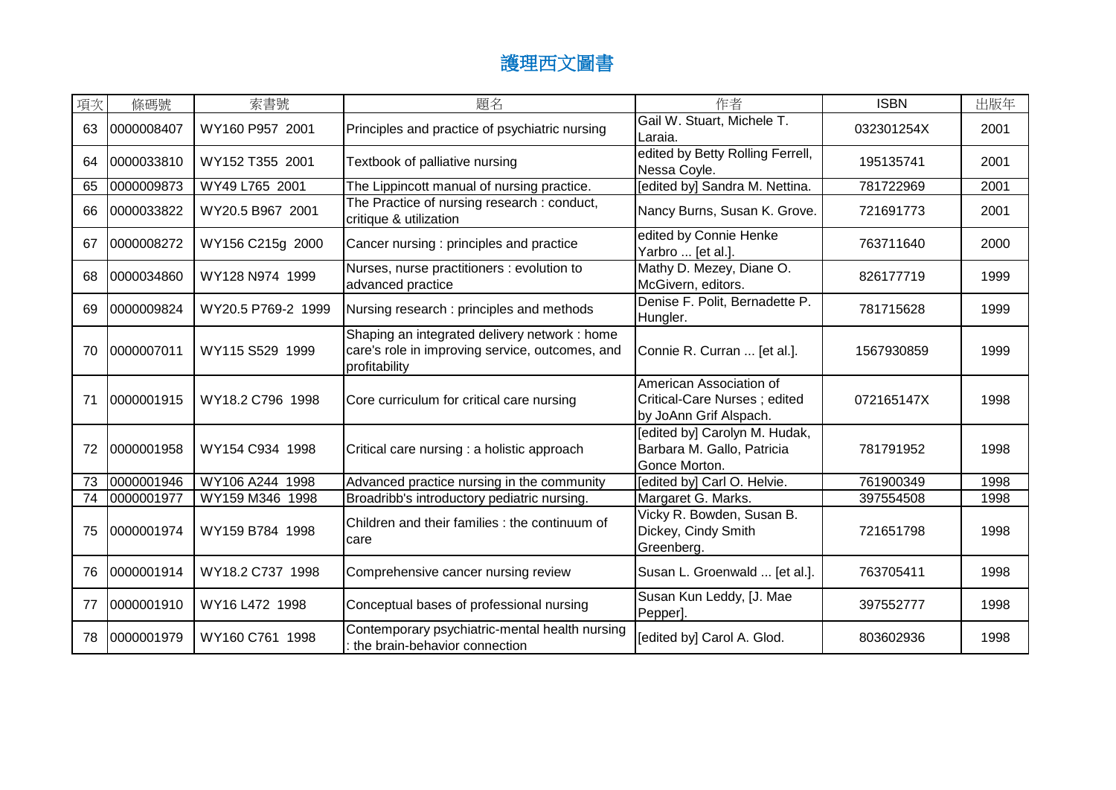| 項次 | 條碼號        | 索書號                | 題名                                                                                                                | 作者                                                                                | <b>ISBN</b> | 出版年  |
|----|------------|--------------------|-------------------------------------------------------------------------------------------------------------------|-----------------------------------------------------------------------------------|-------------|------|
| 63 | 0000008407 | WY160 P957 2001    | Principles and practice of psychiatric nursing                                                                    | Gail W. Stuart, Michele T.<br>Laraia.                                             | 032301254X  | 2001 |
| 64 | 0000033810 | WY152 T355 2001    | Textbook of palliative nursing                                                                                    | edited by Betty Rolling Ferrell,<br>Nessa Coyle.                                  | 195135741   | 2001 |
| 65 | 0000009873 | WY49 L765 2001     | The Lippincott manual of nursing practice.                                                                        | [edited by] Sandra M. Nettina.                                                    | 781722969   | 2001 |
| 66 | 0000033822 | WY20.5 B967 2001   | The Practice of nursing research : conduct,<br>critique & utilization                                             | Nancy Burns, Susan K. Grove.                                                      | 721691773   | 2001 |
| 67 | 0000008272 | WY156 C215g 2000   | Cancer nursing : principles and practice                                                                          | edited by Connie Henke<br>Yarbro  [et al.].                                       | 763711640   | 2000 |
| 68 | 0000034860 | WY128 N974 1999    | Nurses, nurse practitioners : evolution to<br>advanced practice                                                   | Mathy D. Mezey, Diane O.<br>McGivern, editors.                                    | 826177719   | 1999 |
| 69 | 0000009824 | WY20.5 P769-2 1999 | Nursing research: principles and methods                                                                          | Denise F. Polit, Bernadette P.<br>Hungler.                                        | 781715628   | 1999 |
| 70 | 0000007011 | WY115 S529 1999    | Shaping an integrated delivery network : home<br>care's role in improving service, outcomes, and<br>profitability | Connie R. Curran  [et al.].                                                       | 1567930859  | 1999 |
| 71 | 0000001915 | WY18.2 C796 1998   | Core curriculum for critical care nursing                                                                         | American Association of<br>Critical-Care Nurses; edited<br>by JoAnn Grif Alspach. | 072165147X  | 1998 |
| 72 | 0000001958 | WY154 C934 1998    | Critical care nursing : a holistic approach                                                                       | [edited by] Carolyn M. Hudak,<br>Barbara M. Gallo, Patricia<br>Gonce Morton.      | 781791952   | 1998 |
| 73 | 0000001946 | WY106 A244 1998    | Advanced practice nursing in the community                                                                        | [edited by] Carl O. Helvie.                                                       | 761900349   | 1998 |
| 74 | 0000001977 | WY159 M346 1998    | Broadribb's introductory pediatric nursing.                                                                       | Margaret G. Marks.                                                                | 397554508   | 1998 |
| 75 | 0000001974 | WY159 B784 1998    | Children and their families : the continuum of<br>care                                                            | Vicky R. Bowden, Susan B.<br>Dickey, Cindy Smith<br>Greenberg.                    | 721651798   | 1998 |
| 76 | 0000001914 | WY18.2 C737 1998   | Comprehensive cancer nursing review                                                                               | Susan L. Groenwald  [et al.].                                                     | 763705411   | 1998 |
| 77 | 0000001910 | WY16 L472 1998     | Conceptual bases of professional nursing                                                                          | Susan Kun Leddy, [J. Mae<br>Pepper].                                              | 397552777   | 1998 |
| 78 | 0000001979 | WY160 C761 1998    | Contemporary psychiatric-mental health nursing<br>the brain-behavior connection                                   | [edited by] Carol A. Glod.                                                        | 803602936   | 1998 |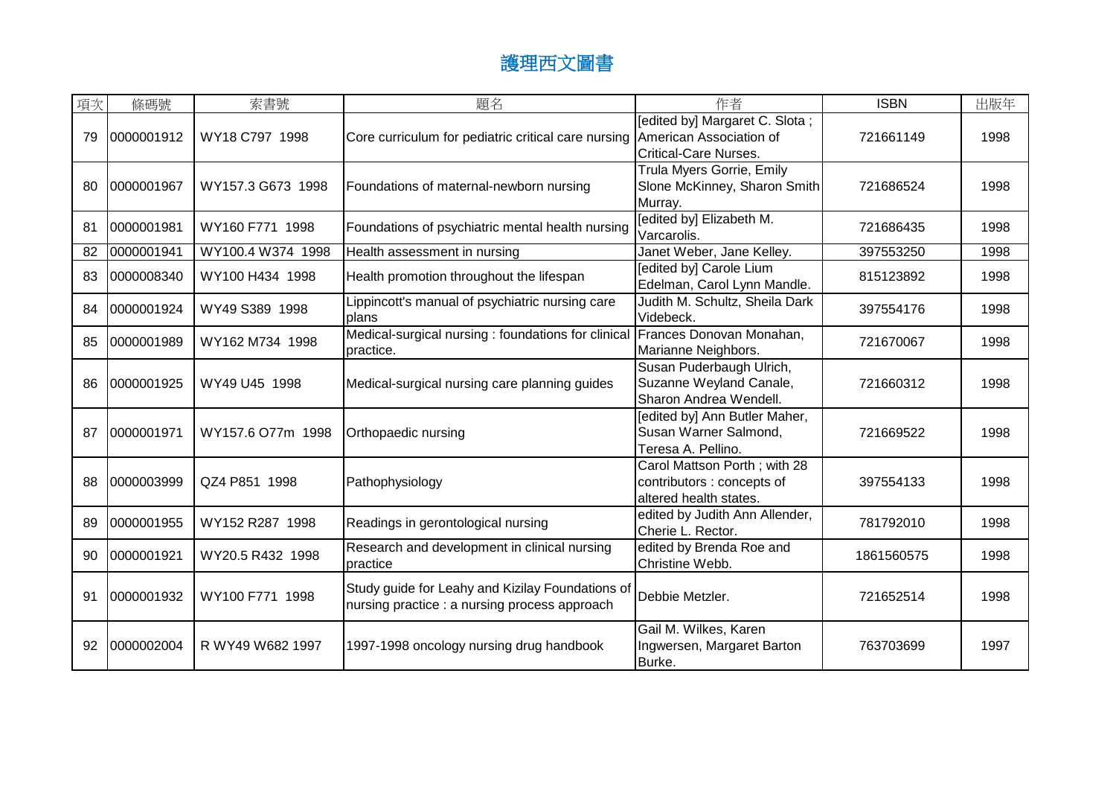| 項次 | 條碼號        | 索書號               | 題名                                                                                                | 作者                                                                                   | <b>ISBN</b> | 出版年  |
|----|------------|-------------------|---------------------------------------------------------------------------------------------------|--------------------------------------------------------------------------------------|-------------|------|
| 79 | 0000001912 | WY18 C797 1998    | Core curriculum for pediatric critical care nursing American Association of                       | [edited by] Margaret C. Slota;<br><b>Critical-Care Nurses.</b>                       | 721661149   | 1998 |
| 80 | 0000001967 | WY157.3 G673 1998 | Foundations of maternal-newborn nursing                                                           | Trula Myers Gorrie, Emily<br>Slone McKinney, Sharon Smith<br>Murray.                 | 721686524   | 1998 |
| 81 | 0000001981 | WY160 F771 1998   | Foundations of psychiatric mental health nursing                                                  | [edited by] Elizabeth M.<br>Varcarolis.                                              | 721686435   | 1998 |
| 82 | 0000001941 | WY100.4 W374 1998 | Health assessment in nursing                                                                      | Janet Weber, Jane Kelley.                                                            | 397553250   | 1998 |
| 83 | 0000008340 | WY100 H434 1998   | Health promotion throughout the lifespan                                                          | [edited by] Carole Lium<br>Edelman, Carol Lynn Mandle.                               | 815123892   | 1998 |
| 84 | 0000001924 | WY49 S389 1998    | Lippincott's manual of psychiatric nursing care<br><b>plans</b>                                   | Judith M. Schultz, Sheila Dark<br>Videbeck.                                          | 397554176   | 1998 |
| 85 | 0000001989 | WY162 M734 1998   | Medical-surgical nursing : foundations for clinical<br>practice.                                  | Frances Donovan Monahan,<br>Marianne Neighbors.                                      | 721670067   | 1998 |
| 86 | 0000001925 | WY49 U45 1998     | Medical-surgical nursing care planning guides                                                     | Susan Puderbaugh Ulrich,<br>Suzanne Weyland Canale,<br>Sharon Andrea Wendell.        | 721660312   | 1998 |
| 87 | 0000001971 | WY157.6 O77m 1998 | Orthopaedic nursing                                                                               | [edited by] Ann Butler Maher,<br>Susan Warner Salmond,<br>Teresa A. Pellino.         | 721669522   | 1998 |
| 88 | 0000003999 | QZ4 P851 1998     | Pathophysiology                                                                                   | Carol Mattson Porth; with 28<br>contributors : concepts of<br>altered health states. | 397554133   | 1998 |
| 89 | 0000001955 | WY152 R287 1998   | Readings in gerontological nursing                                                                | edited by Judith Ann Allender,<br>Cherie L. Rector.                                  | 781792010   | 1998 |
| 90 | 0000001921 | WY20.5 R432 1998  | Research and development in clinical nursing<br>practice                                          | edited by Brenda Roe and<br>Christine Webb.                                          | 1861560575  | 1998 |
| 91 | 0000001932 | WY100 F771 1998   | Study guide for Leahy and Kizilay Foundations of<br>nursing practice : a nursing process approach | Debbie Metzler.                                                                      | 721652514   | 1998 |
| 92 | 0000002004 | R WY49 W682 1997  | 1997-1998 oncology nursing drug handbook                                                          | Gail M. Wilkes, Karen<br>Ingwersen, Margaret Barton<br>Burke.                        | 763703699   | 1997 |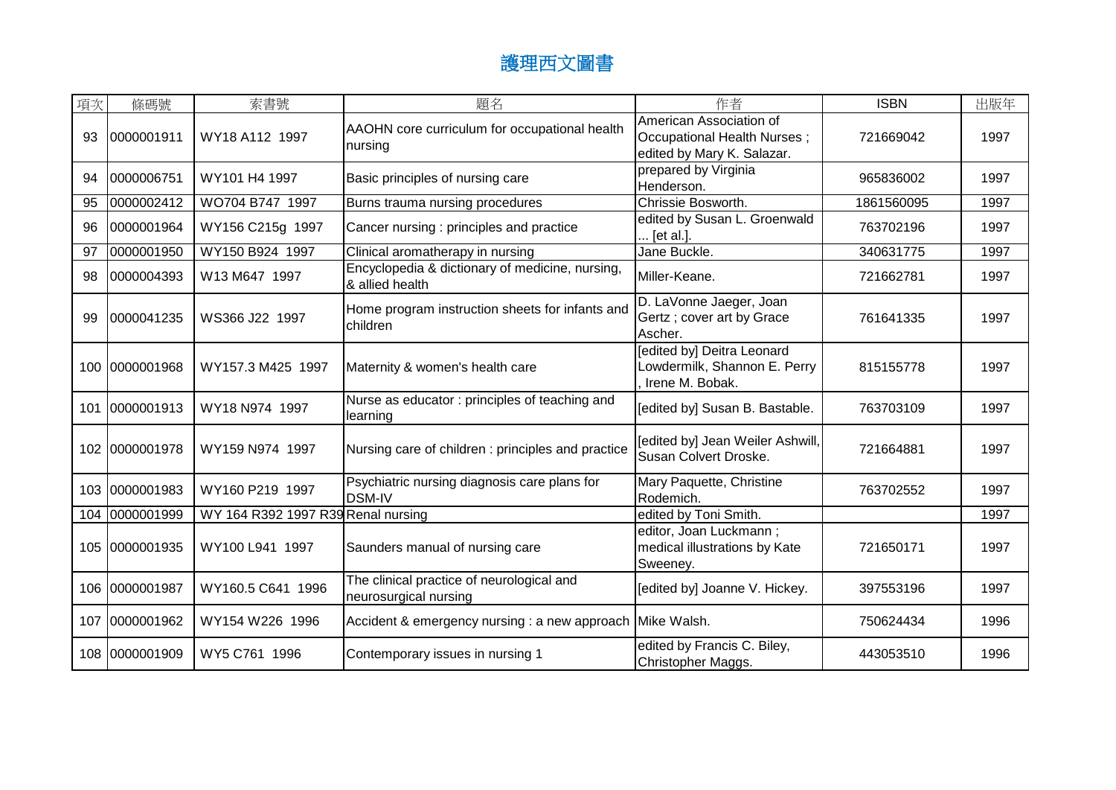| 項次  | 條碼號            | 索書號                                | 題名                                                                 | 作者                                                                                   | <b>ISBN</b> | 出版年  |
|-----|----------------|------------------------------------|--------------------------------------------------------------------|--------------------------------------------------------------------------------------|-------------|------|
| 93  | 0000001911     | WY18 A112 1997                     | AAOHN core curriculum for occupational health<br>nursing           | American Association of<br>Occupational Health Nurses;<br>edited by Mary K. Salazar. | 721669042   | 1997 |
| 94  | 0000006751     | WY101 H4 1997                      | Basic principles of nursing care                                   | prepared by Virginia<br>Henderson.                                                   | 965836002   | 1997 |
| 95  | 0000002412     | WO704 B747 1997                    | Burns trauma nursing procedures                                    | Chrissie Bosworth.                                                                   | 1861560095  | 1997 |
| 96  | 0000001964     | WY156 C215g 1997                   | Cancer nursing : principles and practice                           | edited by Susan L. Groenwald<br>[et al.].                                            | 763702196   | 1997 |
| 97  | 0000001950     | WY150 B924 1997                    | Clinical aromatherapy in nursing                                   | Jane Buckle.                                                                         | 340631775   | 1997 |
| 98  | 0000004393     | W13 M647 1997                      | Encyclopedia & dictionary of medicine, nursing,<br>& allied health | Miller-Keane.                                                                        | 721662781   | 1997 |
| 99  | 0000041235     | WS366 J22 1997                     | Home program instruction sheets for infants and<br>children        | D. LaVonne Jaeger, Joan<br>Gertz; cover art by Grace<br>Ascher.                      | 761641335   | 1997 |
|     | 100 0000001968 | WY157.3 M425 1997                  | Maternity & women's health care                                    | [edited by] Deitra Leonard<br>Lowdermilk, Shannon E. Perry<br>Irene M. Bobak.        | 815155778   | 1997 |
| 101 | 0000001913     | WY18 N974 1997                     | Nurse as educator: principles of teaching and<br>learning          | [edited by] Susan B. Bastable.                                                       | 763703109   | 1997 |
|     | 102 0000001978 | WY159 N974 1997                    | Nursing care of children : principles and practice                 | [edited by] Jean Weiler Ashwill,<br>Susan Colvert Droske.                            | 721664881   | 1997 |
|     | 103 0000001983 | WY160 P219 1997                    | Psychiatric nursing diagnosis care plans for<br><b>DSM-IV</b>      | Mary Paquette, Christine<br>Rodemich.                                                | 763702552   | 1997 |
|     | 104 0000001999 | WY 164 R392 1997 R39 Renal nursing |                                                                    | edited by Toni Smith.                                                                |             | 1997 |
|     | 105 0000001935 | WY100 L941 1997                    | Saunders manual of nursing care                                    | editor, Joan Luckmann;<br>medical illustrations by Kate<br>Sweeney.                  | 721650171   | 1997 |
|     | 106 0000001987 | WY160.5 C641 1996                  | The clinical practice of neurological and<br>neurosurgical nursing | [edited by] Joanne V. Hickey.                                                        | 397553196   | 1997 |
| 107 | 0000001962     | WY154 W226 1996                    | Accident & emergency nursing : a new approach Mike Walsh.          |                                                                                      | 750624434   | 1996 |
|     | 108 0000001909 | WY5 C761 1996                      | Contemporary issues in nursing 1                                   | edited by Francis C. Biley,<br>Christopher Maggs.                                    | 443053510   | 1996 |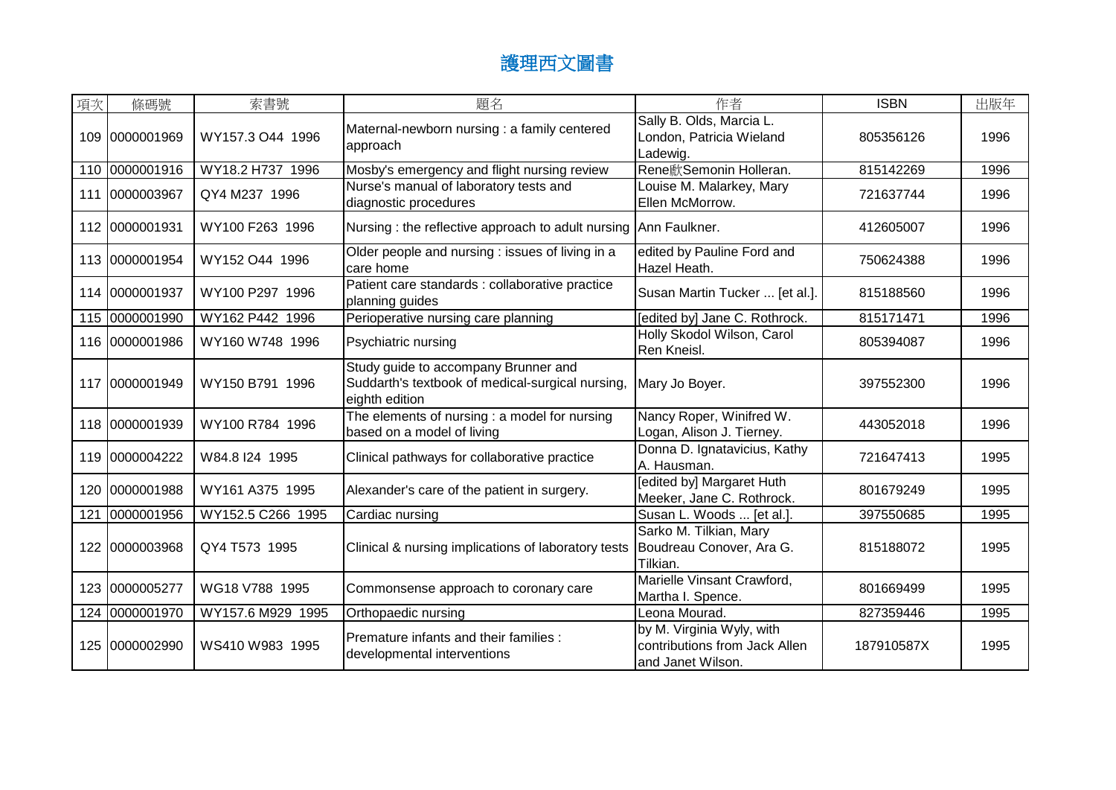| 項次  | 條碼號            | 索書號               | 題名                                                                                                         | 作者                                                                              | <b>ISBN</b> | 出版年  |
|-----|----------------|-------------------|------------------------------------------------------------------------------------------------------------|---------------------------------------------------------------------------------|-------------|------|
| 109 | 0000001969     | WY157.3 O44 1996  | Maternal-newborn nursing : a family centered<br>approach                                                   | Sally B. Olds, Marcia L.<br>London, Patricia Wieland<br>Ladewig.                | 805356126   | 1996 |
| 110 | 0000001916     | WY18.2 H737 1996  | Mosby's emergency and flight nursing review                                                                | Rene歋Semonin Holleran.                                                          | 815142269   | 1996 |
| 111 | 0000003967     | QY4 M237 1996     | Nurse's manual of laboratory tests and<br>diagnostic procedures                                            | Louise M. Malarkey, Mary<br>Ellen McMorrow.                                     | 721637744   | 1996 |
|     | 112 0000001931 | WY100 F263 1996   | Nursing: the reflective approach to adult nursing Ann Faulkner.                                            |                                                                                 | 412605007   | 1996 |
|     | 113 0000001954 | WY152 O44 1996    | Older people and nursing : issues of living in a<br>care home                                              | edited by Pauline Ford and<br>Hazel Heath.                                      | 750624388   | 1996 |
|     | 114 0000001937 | WY100 P297 1996   | Patient care standards : collaborative practice<br>planning guides                                         | Susan Martin Tucker  [et al.].                                                  | 815188560   | 1996 |
|     | 115 0000001990 | WY162 P442 1996   | Perioperative nursing care planning                                                                        | [edited by] Jane C. Rothrock.                                                   | 815171471   | 1996 |
|     | 116 0000001986 | WY160 W748 1996   | Psychiatric nursing                                                                                        | Holly Skodol Wilson, Carol<br>Ren Kneisl.                                       | 805394087   | 1996 |
| 117 | 0000001949     | WY150 B791 1996   | Study guide to accompany Brunner and<br>Suddarth's textbook of medical-surgical nursing,<br>eighth edition | Mary Jo Boyer.                                                                  | 397552300   | 1996 |
|     | 118 0000001939 | WY100 R784 1996   | The elements of nursing : a model for nursing<br>based on a model of living                                | Nancy Roper, Winifred W.<br>Logan, Alison J. Tierney.                           | 443052018   | 1996 |
|     | 119 0000004222 | W84.8 I24 1995    | Clinical pathways for collaborative practice                                                               | Donna D. Ignatavicius, Kathy<br>A. Hausman.                                     | 721647413   | 1995 |
|     | 120 0000001988 | WY161 A375 1995   | Alexander's care of the patient in surgery.                                                                | [edited by] Margaret Huth<br>Meeker, Jane C. Rothrock.                          | 801679249   | 1995 |
| 121 | 0000001956     | WY152.5 C266 1995 | Cardiac nursing                                                                                            | Susan L. Woods  [et al.]                                                        | 397550685   | 1995 |
| 122 | 0000003968     | QY4 T573 1995     | Clinical & nursing implications of laboratory tests   Boudreau Conover, Ara G.                             | Sarko M. Tilkian, Mary<br>Tilkian.                                              | 815188072   | 1995 |
|     | 123 0000005277 | WG18 V788 1995    | Commonsense approach to coronary care                                                                      | Marielle Vinsant Crawford,<br>Martha I. Spence.                                 | 801669499   | 1995 |
|     | 124 0000001970 | WY157.6 M929 1995 | Orthopaedic nursing                                                                                        | Leona Mourad.                                                                   | 827359446   | 1995 |
|     | 125 0000002990 | WS410 W983 1995   | Premature infants and their families :<br>developmental interventions                                      | by M. Virginia Wyly, with<br>contributions from Jack Allen<br>and Janet Wilson. | 187910587X  | 1995 |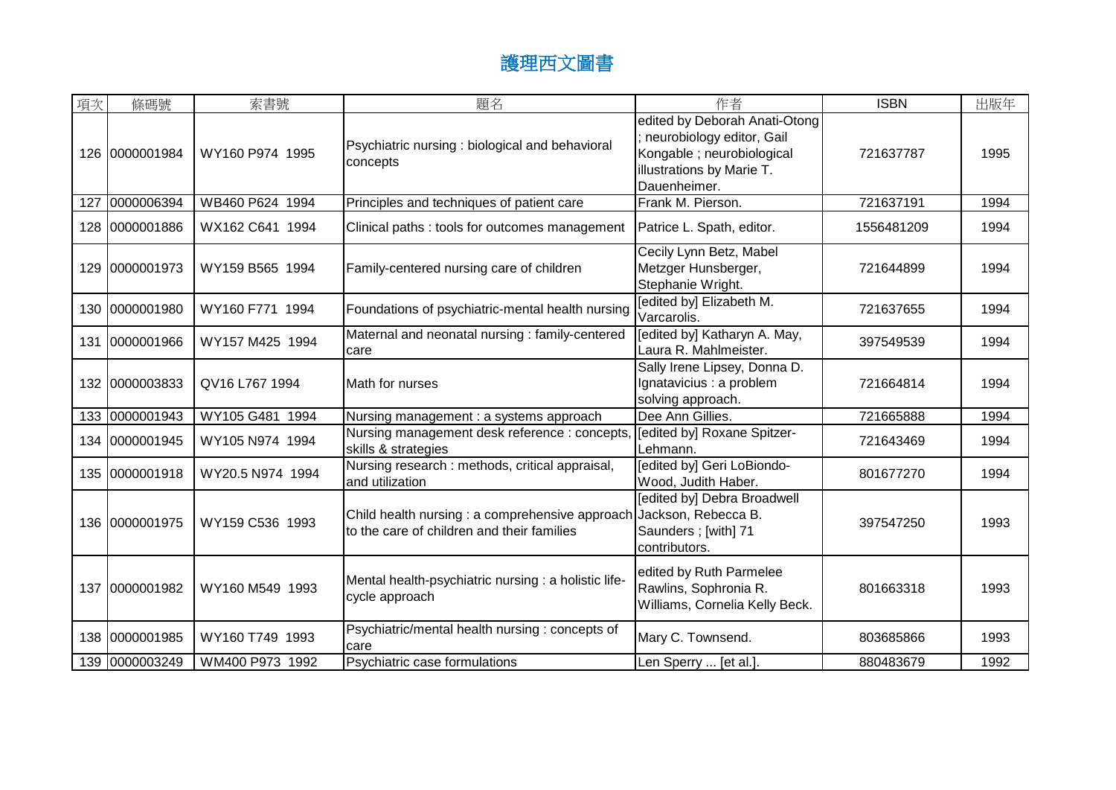| 項次  | 條碼號            | 索書號              | 題名                                                                                                                | 作者                                                                                                                                    | <b>ISBN</b> | 出版年  |
|-----|----------------|------------------|-------------------------------------------------------------------------------------------------------------------|---------------------------------------------------------------------------------------------------------------------------------------|-------------|------|
|     | 126 0000001984 | WY160 P974 1995  | Psychiatric nursing : biological and behavioral<br>concepts                                                       | edited by Deborah Anati-Otong<br>neurobiology editor, Gail<br>Kongable ; neurobiological<br>illustrations by Marie T.<br>Dauenheimer. | 721637787   | 1995 |
| 127 | 0000006394     | WB460 P624 1994  | Principles and techniques of patient care                                                                         | Frank M. Pierson.                                                                                                                     | 721637191   | 1994 |
|     | 128 0000001886 | WX162 C641 1994  | Clinical paths: tools for outcomes management                                                                     | Patrice L. Spath, editor.                                                                                                             | 1556481209  | 1994 |
| 129 | 0000001973     | WY159 B565 1994  | Family-centered nursing care of children                                                                          | Cecily Lynn Betz, Mabel<br>Metzger Hunsberger,<br>Stephanie Wright.                                                                   | 721644899   | 1994 |
|     | 130 0000001980 | WY160 F771 1994  | Foundations of psychiatric-mental health nursing                                                                  | [edited by] Elizabeth M.<br>Varcarolis.                                                                                               | 721637655   | 1994 |
| 131 | 0000001966     | WY157 M425 1994  | Maternal and neonatal nursing : family-centered<br>care                                                           | [edited by] Katharyn A. May,<br>Laura R. Mahlmeister.                                                                                 | 397549539   | 1994 |
|     | 132 0000003833 | QV16 L767 1994   | Math for nurses                                                                                                   | Sally Irene Lipsey, Donna D.<br>Ignatavicius : a problem<br>solving approach.                                                         | 721664814   | 1994 |
|     | 133 0000001943 | WY105 G481 1994  | Nursing management : a systems approach                                                                           | Dee Ann Gillies.                                                                                                                      | 721665888   | 1994 |
|     | 134 0000001945 | WY105 N974 1994  | Nursing management desk reference : concepts,<br>skills & strategies                                              | [edited by] Roxane Spitzer-<br>Lehmann.                                                                                               | 721643469   | 1994 |
|     | 135 0000001918 | WY20.5 N974 1994 | Nursing research : methods, critical appraisal,<br>and utilization                                                | [edited by] Geri LoBiondo-<br>Wood, Judith Haber.                                                                                     | 801677270   | 1994 |
|     | 136 0000001975 | WY159 C536 1993  | Child health nursing : a comprehensive approach Jackson, Rebecca B.<br>to the care of children and their families | <b>[edited by] Debra Broadwell</b><br>Saunders ; [with] 71<br>contributors.                                                           | 397547250   | 1993 |
|     | 137 0000001982 | WY160 M549 1993  | Mental health-psychiatric nursing : a holistic life-<br>cycle approach                                            | edited by Ruth Parmelee<br>Rawlins, Sophronia R.<br>Williams, Cornelia Kelly Beck.                                                    | 801663318   | 1993 |
|     | 138 0000001985 | WY160 T749 1993  | Psychiatric/mental health nursing : concepts of<br>care                                                           | Mary C. Townsend.                                                                                                                     | 803685866   | 1993 |
|     | 139 0000003249 | WM400 P973 1992  | Psychiatric case formulations                                                                                     | Len Sperry  [et al.]                                                                                                                  | 880483679   | 1992 |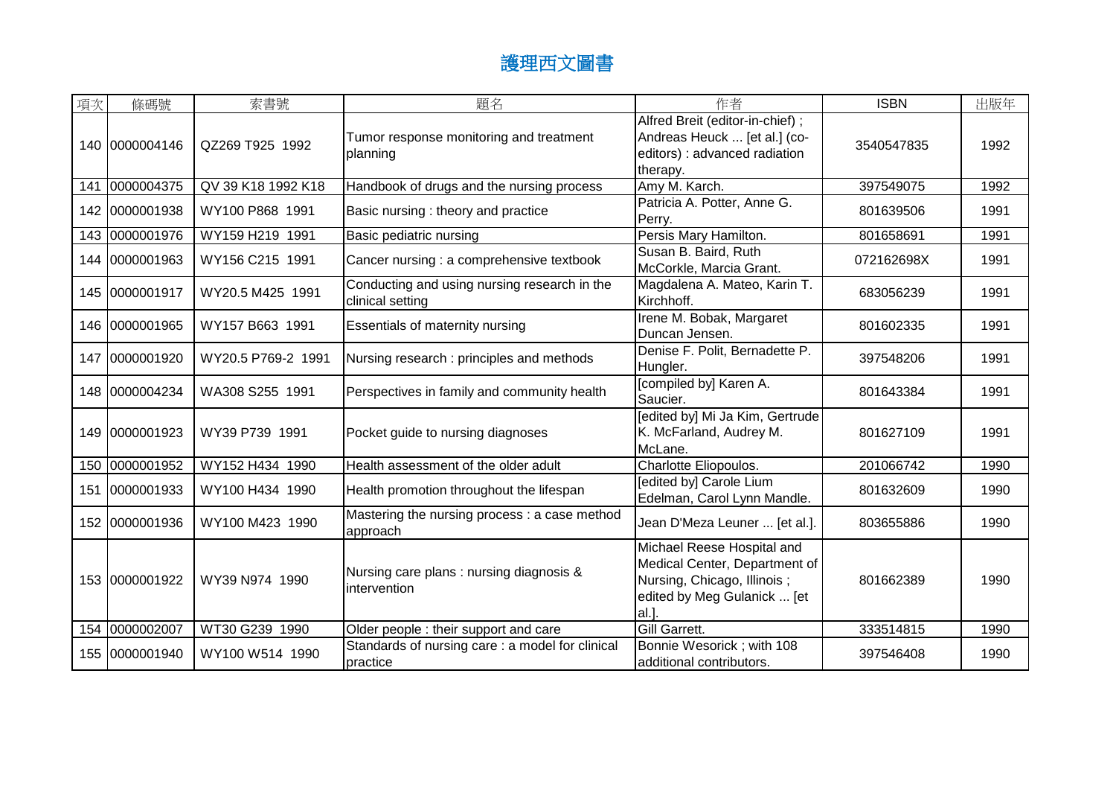| 項次  | 條碼號            | 索書號                | 題名                                                               | 作者                                                                                                                               | <b>ISBN</b> | 出版年  |
|-----|----------------|--------------------|------------------------------------------------------------------|----------------------------------------------------------------------------------------------------------------------------------|-------------|------|
|     | 140 0000004146 | QZ269 T925 1992    | Tumor response monitoring and treatment<br>planning              | Alfred Breit (editor-in-chief);<br>Andreas Heuck  [et al.] (co-<br>editors) : advanced radiation<br>therapy.                     | 3540547835  | 1992 |
| 141 | 0000004375     | QV 39 K18 1992 K18 | Handbook of drugs and the nursing process                        | Amy M. Karch.                                                                                                                    | 397549075   | 1992 |
|     | 142 0000001938 | WY100 P868 1991    | Basic nursing : theory and practice                              | Patricia A. Potter, Anne G.<br>Perry.                                                                                            | 801639506   | 1991 |
|     | 143 0000001976 | WY159 H219 1991    | Basic pediatric nursing                                          | Persis Mary Hamilton.                                                                                                            | 801658691   | 1991 |
|     | 144 0000001963 | WY156 C215 1991    | Cancer nursing : a comprehensive textbook                        | Susan B. Baird, Ruth<br>McCorkle, Marcia Grant.                                                                                  | 072162698X  | 1991 |
|     | 145 0000001917 | WY20.5 M425 1991   | Conducting and using nursing research in the<br>clinical setting | Magdalena A. Mateo, Karin T.<br>Kirchhoff.                                                                                       | 683056239   | 1991 |
|     | 146 0000001965 | WY157 B663 1991    | Essentials of maternity nursing                                  | Irene M. Bobak, Margaret<br>Duncan Jensen.                                                                                       | 801602335   | 1991 |
| 147 | 0000001920     | WY20.5 P769-2 1991 | Nursing research: principles and methods                         | Denise F. Polit, Bernadette P.<br>Hungler.                                                                                       | 397548206   | 1991 |
|     | 148 0000004234 | WA308 S255 1991    | Perspectives in family and community health                      | [compiled by] Karen A.<br>Saucier.                                                                                               | 801643384   | 1991 |
|     | 149 0000001923 | WY39 P739 1991     | Pocket guide to nursing diagnoses                                | [edited by] Mi Ja Kim, Gertrude<br>K. McFarland, Audrey M.<br>McLane.                                                            | 801627109   | 1991 |
| 150 | 0000001952     | WY152 H434 1990    | Health assessment of the older adult                             | Charlotte Eliopoulos.                                                                                                            | 201066742   | 1990 |
| 151 | 0000001933     | WY100 H434 1990    | Health promotion throughout the lifespan                         | [edited by] Carole Lium<br>Edelman, Carol Lynn Mandle.                                                                           | 801632609   | 1990 |
|     | 152 0000001936 | WY100 M423 1990    | Mastering the nursing process : a case method<br>approach        | Jean D'Meza Leuner  [et al.].                                                                                                    | 803655886   | 1990 |
|     | 153 0000001922 | WY39 N974 1990     | Nursing care plans: nursing diagnosis &<br>intervention          | Michael Reese Hospital and<br>Medical Center, Department of<br>Nursing, Chicago, Illinois;<br>edited by Meg Gulanick  [et<br>al. | 801662389   | 1990 |
|     | 154 0000002007 | WT30 G239 1990     | Older people : their support and care                            | Gill Garrett.                                                                                                                    | 333514815   | 1990 |
|     | 155 0000001940 | WY100 W514 1990    | Standards of nursing care : a model for clinical<br>practice     | Bonnie Wesorick; with 108<br>additional contributors.                                                                            | 397546408   | 1990 |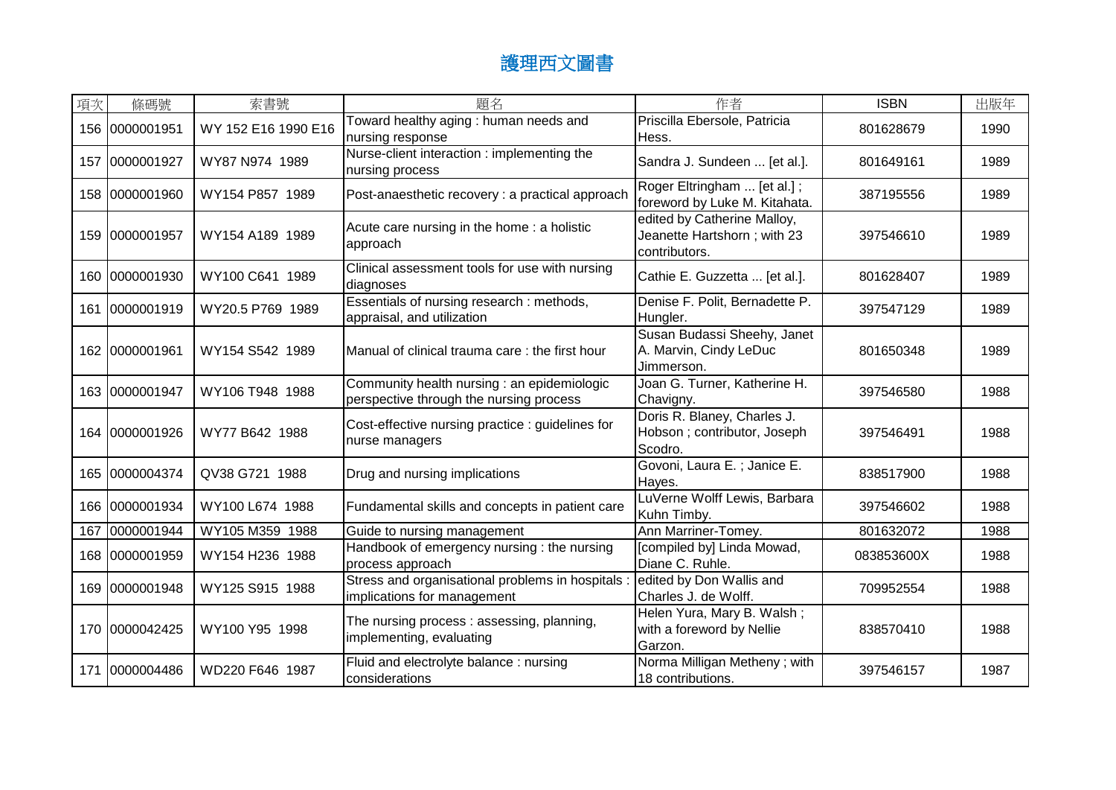| 項次  | 條碼號            | 索書號                 | 題名                                                                                     | 作者                                                                          | <b>ISBN</b> | 出版年  |
|-----|----------------|---------------------|----------------------------------------------------------------------------------------|-----------------------------------------------------------------------------|-------------|------|
|     | 156 0000001951 | WY 152 E16 1990 E16 | Toward healthy aging: human needs and<br>nursing response                              | Priscilla Ebersole, Patricia<br>Hess.                                       | 801628679   | 1990 |
| 157 | 0000001927     | WY87 N974 1989      | Nurse-client interaction : implementing the<br>nursing process                         | Sandra J. Sundeen  [et al.].                                                | 801649161   | 1989 |
|     | 158 0000001960 | WY154 P857 1989     | Post-anaesthetic recovery : a practical approach                                       | Roger Eltringham  [et al.];<br>foreword by Luke M. Kitahata.                | 387195556   | 1989 |
|     | 159 0000001957 | WY154 A189 1989     | Acute care nursing in the home: a holistic<br>approach                                 | edited by Catherine Malloy,<br>Jeanette Hartshorn; with 23<br>contributors. | 397546610   | 1989 |
|     | 160 0000001930 | WY100 C641 1989     | Clinical assessment tools for use with nursing<br>diagnoses                            | Cathie E. Guzzetta  [et al.].                                               | 801628407   | 1989 |
| 161 | 0000001919     | WY20.5 P769 1989    | Essentials of nursing research : methods,<br>appraisal, and utilization                | Denise F. Polit, Bernadette P.<br>Hungler.                                  | 397547129   | 1989 |
|     | 162 0000001961 | WY154 S542 1989     | Manual of clinical trauma care: the first hour                                         | Susan Budassi Sheehy, Janet<br>A. Marvin, Cindy LeDuc<br>Jimmerson.         | 801650348   | 1989 |
|     | 163 0000001947 | WY106 T948 1988     | Community health nursing : an epidemiologic<br>perspective through the nursing process | Joan G. Turner, Katherine H.<br>Chavigny.                                   | 397546580   | 1988 |
| 164 | 0000001926     | WY77 B642 1988      | Cost-effective nursing practice : guidelines for<br>nurse managers                     | Doris R. Blaney, Charles J.<br>Hobson; contributor, Joseph<br>Scodro.       | 397546491   | 1988 |
|     | 165 0000004374 | QV38 G721 1988      | Drug and nursing implications                                                          | Govoni, Laura E.; Janice E.<br>Hayes.                                       | 838517900   | 1988 |
|     | 166 0000001934 | WY100 L674 1988     | Fundamental skills and concepts in patient care                                        | LuVerne Wolff Lewis, Barbara<br>Kuhn Timby.                                 | 397546602   | 1988 |
| 167 | 0000001944     | WY105 M359 1988     | Guide to nursing management                                                            | Ann Marriner-Tomey.                                                         | 801632072   | 1988 |
|     | 168 0000001959 | WY154 H236 1988     | Handbook of emergency nursing: the nursing<br>process approach                         | [compiled by] Linda Mowad,<br>Diane C. Ruhle.                               | 083853600X  | 1988 |
|     | 169 0000001948 | WY125 S915 1988     | Stress and organisational problems in hospitals<br>implications for management         | edited by Don Wallis and<br>Charles J. de Wolff.                            | 709952554   | 1988 |
|     | 170 0000042425 | WY100 Y95 1998      | The nursing process: assessing, planning,<br>implementing, evaluating                  | Helen Yura, Mary B. Walsh;<br>with a foreword by Nellie<br>Garzon.          | 838570410   | 1988 |
| 171 | 0000004486     | WD220 F646 1987     | Fluid and electrolyte balance: nursing<br>considerations                               | Norma Milligan Metheny; with<br>18 contributions.                           | 397546157   | 1987 |